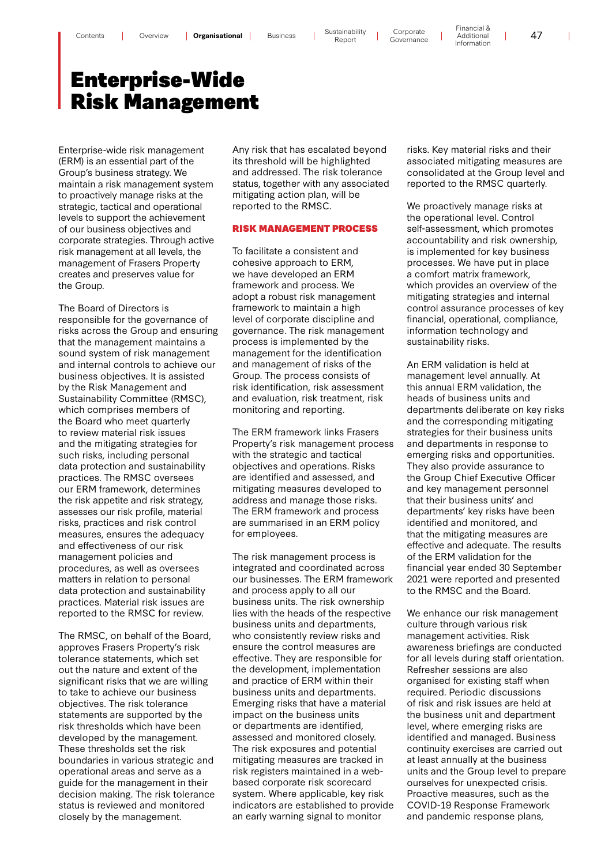# Enterprise-Wide Risk Management

Enterprise-wide risk management (ERM) is an essential part of the Group's business strategy. We maintain a risk management system to proactively manage risks at the strategic, tactical and operational levels to support the achievement of our business objectives and corporate strategies. Through active risk management at all levels, the management of Frasers Property creates and preserves value for the Group.

The Board of Directors is responsible for the governance of risks across the Group and ensuring that the management maintains a sound system of risk management and internal controls to achieve our business objectives. It is assisted by the Risk Management and Sustainability Committee (RMSC), which comprises members of the Board who meet quarterly to review material risk issues and the mitigating strategies for such risks, including personal data protection and sustainability practices. The RMSC oversees our ERM framework, determines the risk appetite and risk strategy, assesses our risk profile, material risks, practices and risk control measures, ensures the adequacy and effectiveness of our risk management policies and procedures, as well as oversees matters in relation to personal data protection and sustainability practices. Material risk issues are reported to the RMSC for review.

The RMSC, on behalf of the Board, approves Frasers Property's risk tolerance statements, which set out the nature and extent of the significant risks that we are willing to take to achieve our business objectives. The risk tolerance statements are supported by the risk thresholds which have been developed by the management. These thresholds set the risk boundaries in various strategic and operational areas and serve as a guide for the management in their decision making. The risk tolerance status is reviewed and monitored closely by the management.

Any risk that has escalated beyond its threshold will be highlighted and addressed. The risk tolerance status, together with any associated mitigating action plan, will be reported to the RMSC.

# RISK MANAGEMENT PROCESS

To facilitate a consistent and cohesive approach to ERM, we have developed an ERM framework and process. We adopt a robust risk management framework to maintain a high level of corporate discipline and governance. The risk management process is implemented by the management for the identification and management of risks of the Group. The process consists of risk identification, risk assessment and evaluation, risk treatment, risk monitoring and reporting.

The ERM framework links Frasers Property's risk management process with the strategic and tactical objectives and operations. Risks are identified and assessed, and mitigating measures developed to address and manage those risks. The ERM framework and process are summarised in an ERM policy for employees.

The risk management process is integrated and coordinated across our businesses. The ERM framework and process apply to all our business units. The risk ownership lies with the heads of the respective business units and departments, who consistently review risks and ensure the control measures are effective. They are responsible for the development, implementation and practice of ERM within their business units and departments. Emerging risks that have a material impact on the business units or departments are identified, assessed and monitored closely. The risk exposures and potential mitigating measures are tracked in risk registers maintained in a webbased corporate risk scorecard system. Where applicable, key risk indicators are established to provide an early warning signal to monitor

risks. Key material risks and their associated mitigating measures are consolidated at the Group level and reported to the RMSC quarterly.

Financial &

We proactively manage risks at the operational level. Control self-assessment, which promotes accountability and risk ownership, is implemented for key business processes. We have put in place a comfort matrix framework, which provides an overview of the mitigating strategies and internal control assurance processes of key financial, operational, compliance, information technology and sustainability risks.

An ERM validation is held at management level annually. At this annual ERM validation, the heads of business units and departments deliberate on key risks and the corresponding mitigating strategies for their business units and departments in response to emerging risks and opportunities. They also provide assurance to the Group Chief Executive Officer and key management personnel that their business units' and departments' key risks have been identified and monitored, and that the mitigating measures are effective and adequate. The results of the ERM validation for the financial year ended 30 September 2021 were reported and presented to the RMSC and the Board.

We enhance our risk management culture through various risk management activities. Risk awareness briefings are conducted for all levels during staff orientation. Refresher sessions are also organised for existing staff when required. Periodic discussions of risk and risk issues are held at the business unit and department level, where emerging risks are identified and managed. Business continuity exercises are carried out at least annually at the business units and the Group level to prepare ourselves for unexpected crisis. Proactive measures, such as the COVID-19 Response Framework and pandemic response plans,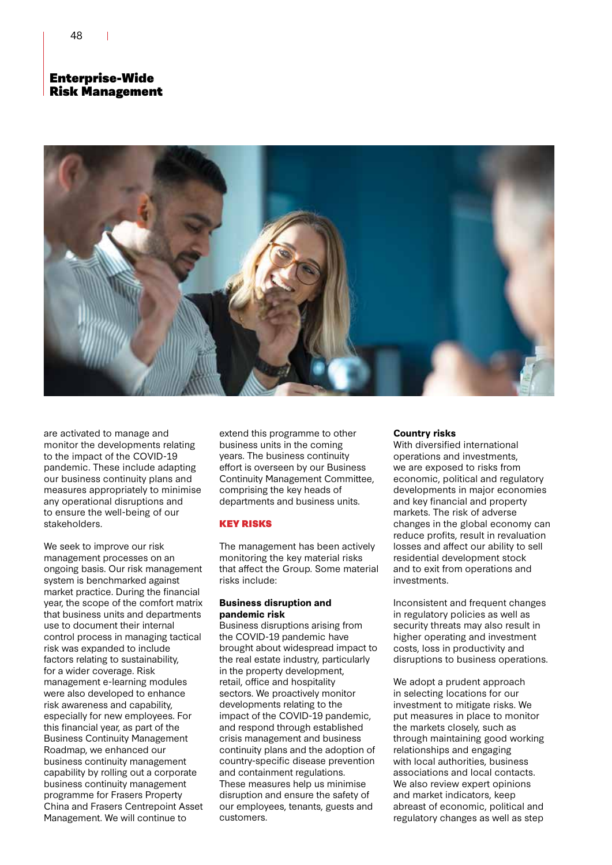# Enterprise-Wide Risk Management



are activated to manage and monitor the developments relating to the impact of the COVID-19 pandemic. These include adapting our business continuity plans and measures appropriately to minimise any operational disruptions and to ensure the well-being of our stakeholders.

We seek to improve our risk management processes on an ongoing basis. Our risk management system is benchmarked against market practice. During the financial year, the scope of the comfort matrix that business units and departments use to document their internal control process in managing tactical risk was expanded to include factors relating to sustainability, for a wider coverage. Risk management e-learning modules were also developed to enhance risk awareness and capability, especially for new employees. For this financial year, as part of the Business Continuity Management Roadmap, we enhanced our business continuity management capability by rolling out a corporate business continuity management programme for Frasers Property China and Frasers Centrepoint Asset Management. We will continue to

extend this programme to other business units in the coming years. The business continuity effort is overseen by our Business Continuity Management Committee, comprising the key heads of departments and business units.

# KEY RISKS

The management has been actively monitoring the key material risks that affect the Group. Some material risks include:

# **Business disruption and pandemic risk**

Business disruptions arising from the COVID-19 pandemic have brought about widespread impact to the real estate industry, particularly in the property development, retail, office and hospitality sectors. We proactively monitor developments relating to the impact of the COVID-19 pandemic, and respond through established crisis management and business continuity plans and the adoption of country-specific disease prevention and containment regulations. These measures help us minimise disruption and ensure the safety of our employees, tenants, guests and customers.

# **Country risks**

With diversified international operations and investments, we are exposed to risks from economic, political and regulatory developments in major economies and key financial and property markets. The risk of adverse changes in the global economy can reduce profits, result in revaluation losses and affect our ability to sell residential development stock and to exit from operations and investments.

Inconsistent and frequent changes in regulatory policies as well as security threats may also result in higher operating and investment costs, loss in productivity and disruptions to business operations.

We adopt a prudent approach in selecting locations for our investment to mitigate risks. We put measures in place to monitor the markets closely, such as through maintaining good working relationships and engaging with local authorities, business associations and local contacts. We also review expert opinions and market indicators, keep abreast of economic, political and regulatory changes as well as step